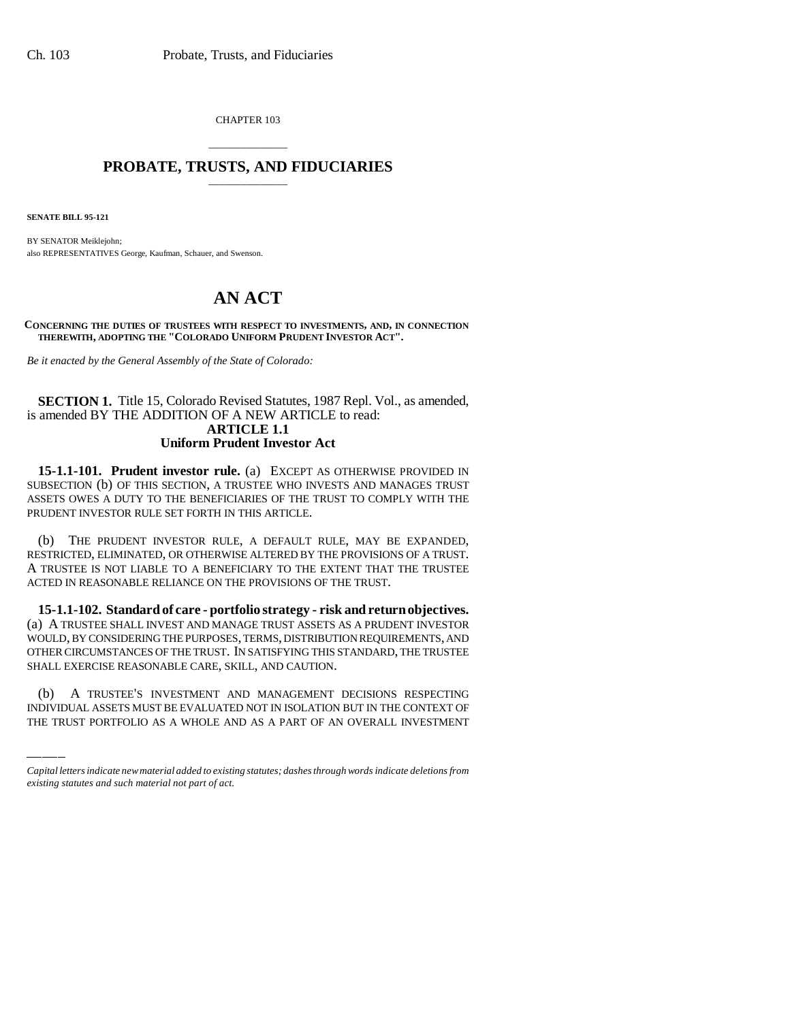CHAPTER 103

## \_\_\_\_\_\_\_\_\_\_\_\_\_\_\_ **PROBATE, TRUSTS, AND FIDUCIARIES** \_\_\_\_\_\_\_\_\_\_\_\_\_\_\_

**SENATE BILL 95-121**

BY SENATOR Meiklejohn; also REPRESENTATIVES George, Kaufman, Schauer, and Swenson.

## **AN ACT**

**CONCERNING THE DUTIES OF TRUSTEES WITH RESPECT TO INVESTMENTS, AND, IN CONNECTION THEREWITH, ADOPTING THE "COLORADO UNIFORM PRUDENT INVESTOR ACT".**

*Be it enacted by the General Assembly of the State of Colorado:*

## **SECTION 1.** Title 15, Colorado Revised Statutes, 1987 Repl. Vol., as amended, is amended BY THE ADDITION OF A NEW ARTICLE to read: **ARTICLE 1.1 Uniform Prudent Investor Act**

**15-1.1-101. Prudent investor rule.** (a) EXCEPT AS OTHERWISE PROVIDED IN SUBSECTION (b) OF THIS SECTION, A TRUSTEE WHO INVESTS AND MANAGES TRUST ASSETS OWES A DUTY TO THE BENEFICIARIES OF THE TRUST TO COMPLY WITH THE PRUDENT INVESTOR RULE SET FORTH IN THIS ARTICLE.

(b) THE PRUDENT INVESTOR RULE, A DEFAULT RULE, MAY BE EXPANDED, RESTRICTED, ELIMINATED, OR OTHERWISE ALTERED BY THE PROVISIONS OF A TRUST. A TRUSTEE IS NOT LIABLE TO A BENEFICIARY TO THE EXTENT THAT THE TRUSTEE ACTED IN REASONABLE RELIANCE ON THE PROVISIONS OF THE TRUST.

SHALL EXERCISE REASONABLE CARE, SKILL, AND CAUTION. **15-1.1-102. Standard of care - portfolio strategy - risk and return objectives.** (a) A TRUSTEE SHALL INVEST AND MANAGE TRUST ASSETS AS A PRUDENT INVESTOR WOULD, BY CONSIDERING THE PURPOSES, TERMS, DISTRIBUTION REQUIREMENTS, AND OTHER CIRCUMSTANCES OF THE TRUST. IN SATISFYING THIS STANDARD, THE TRUSTEE

(b) A TRUSTEE'S INVESTMENT AND MANAGEMENT DECISIONS RESPECTING INDIVIDUAL ASSETS MUST BE EVALUATED NOT IN ISOLATION BUT IN THE CONTEXT OF THE TRUST PORTFOLIO AS A WHOLE AND AS A PART OF AN OVERALL INVESTMENT

*Capital letters indicate new material added to existing statutes; dashes through words indicate deletions from existing statutes and such material not part of act.*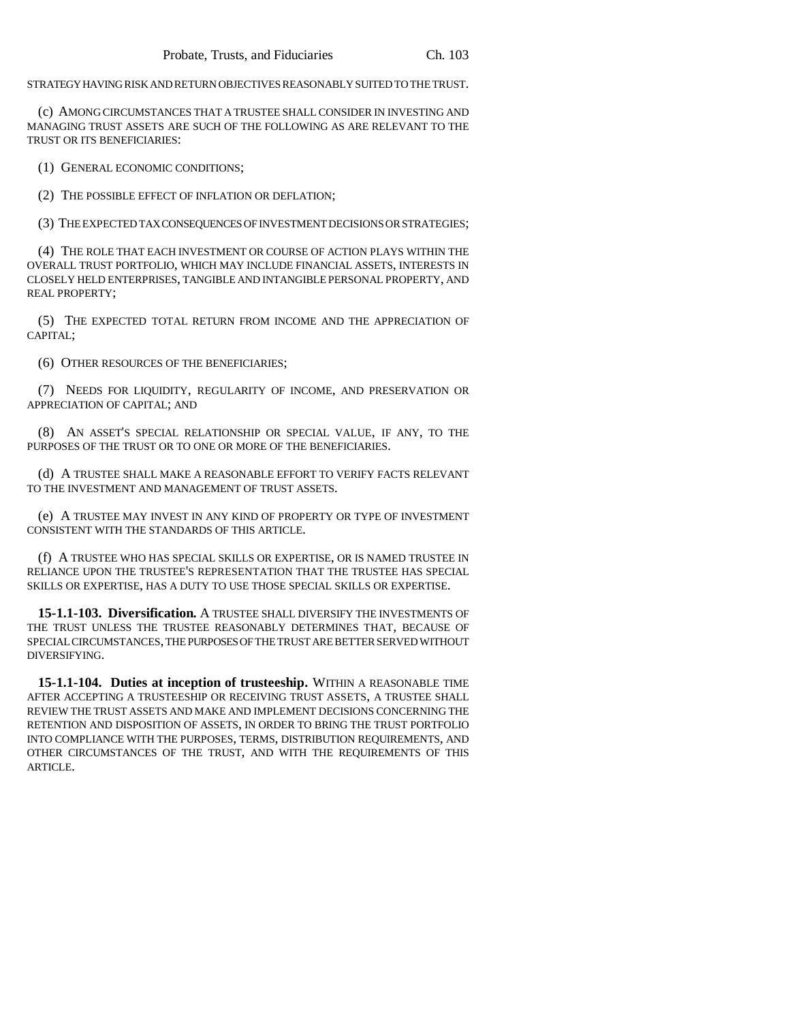STRATEGY HAVING RISK AND RETURN OBJECTIVES REASONABLY SUITED TO THE TRUST.

(c) AMONG CIRCUMSTANCES THAT A TRUSTEE SHALL CONSIDER IN INVESTING AND MANAGING TRUST ASSETS ARE SUCH OF THE FOLLOWING AS ARE RELEVANT TO THE TRUST OR ITS BENEFICIARIES:

(1) GENERAL ECONOMIC CONDITIONS;

(2) THE POSSIBLE EFFECT OF INFLATION OR DEFLATION;

(3) THE EXPECTED TAX CONSEQUENCES OF INVESTMENT DECISIONS OR STRATEGIES;

(4) THE ROLE THAT EACH INVESTMENT OR COURSE OF ACTION PLAYS WITHIN THE OVERALL TRUST PORTFOLIO, WHICH MAY INCLUDE FINANCIAL ASSETS, INTERESTS IN CLOSELY HELD ENTERPRISES, TANGIBLE AND INTANGIBLE PERSONAL PROPERTY, AND REAL PROPERTY;

(5) THE EXPECTED TOTAL RETURN FROM INCOME AND THE APPRECIATION OF CAPITAL;

(6) OTHER RESOURCES OF THE BENEFICIARIES;

(7) NEEDS FOR LIQUIDITY, REGULARITY OF INCOME, AND PRESERVATION OR APPRECIATION OF CAPITAL; AND

(8) AN ASSET'S SPECIAL RELATIONSHIP OR SPECIAL VALUE, IF ANY, TO THE PURPOSES OF THE TRUST OR TO ONE OR MORE OF THE BENEFICIARIES.

(d) A TRUSTEE SHALL MAKE A REASONABLE EFFORT TO VERIFY FACTS RELEVANT TO THE INVESTMENT AND MANAGEMENT OF TRUST ASSETS.

(e) A TRUSTEE MAY INVEST IN ANY KIND OF PROPERTY OR TYPE OF INVESTMENT CONSISTENT WITH THE STANDARDS OF THIS ARTICLE.

(f) A TRUSTEE WHO HAS SPECIAL SKILLS OR EXPERTISE, OR IS NAMED TRUSTEE IN RELIANCE UPON THE TRUSTEE'S REPRESENTATION THAT THE TRUSTEE HAS SPECIAL SKILLS OR EXPERTISE, HAS A DUTY TO USE THOSE SPECIAL SKILLS OR EXPERTISE.

**15-1.1-103. Diversification.** A TRUSTEE SHALL DIVERSIFY THE INVESTMENTS OF THE TRUST UNLESS THE TRUSTEE REASONABLY DETERMINES THAT, BECAUSE OF SPECIAL CIRCUMSTANCES, THE PURPOSES OF THE TRUST ARE BETTER SERVED WITHOUT DIVERSIFYING.

**15-1.1-104. Duties at inception of trusteeship.** WITHIN A REASONABLE TIME AFTER ACCEPTING A TRUSTEESHIP OR RECEIVING TRUST ASSETS, A TRUSTEE SHALL REVIEW THE TRUST ASSETS AND MAKE AND IMPLEMENT DECISIONS CONCERNING THE RETENTION AND DISPOSITION OF ASSETS, IN ORDER TO BRING THE TRUST PORTFOLIO INTO COMPLIANCE WITH THE PURPOSES, TERMS, DISTRIBUTION REQUIREMENTS, AND OTHER CIRCUMSTANCES OF THE TRUST, AND WITH THE REQUIREMENTS OF THIS ARTICLE.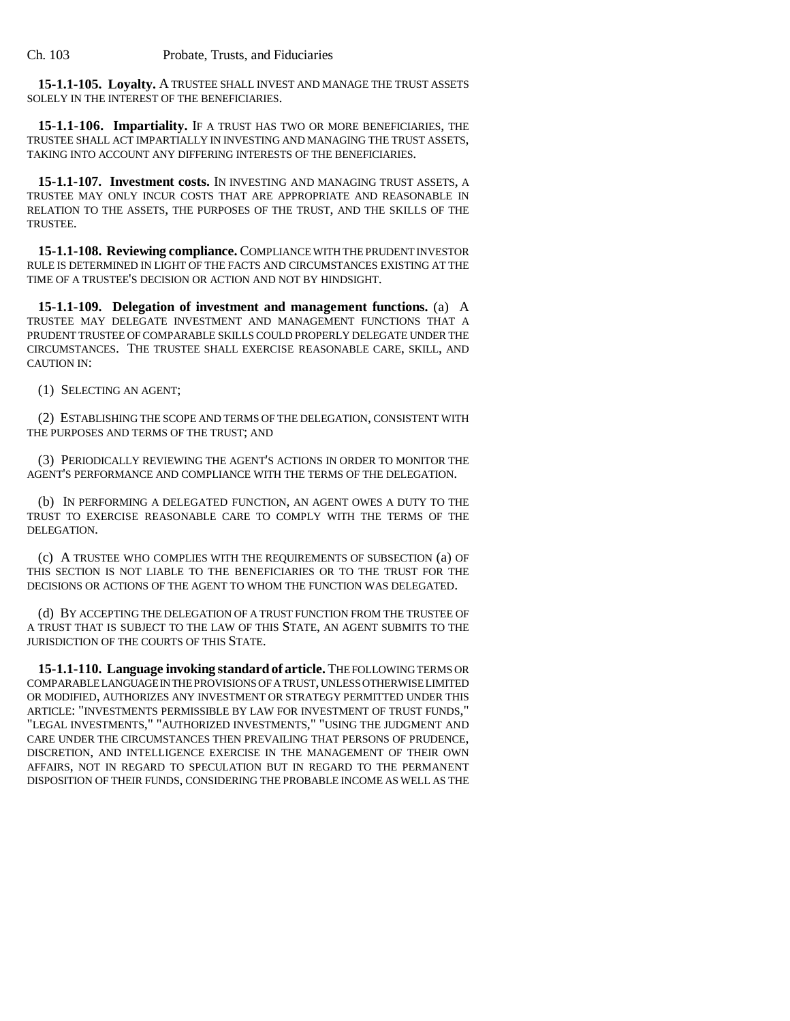**15-1.1-105. Loyalty.** A TRUSTEE SHALL INVEST AND MANAGE THE TRUST ASSETS SOLELY IN THE INTEREST OF THE BENEFICIARIES.

**15-1.1-106. Impartiality.** IF A TRUST HAS TWO OR MORE BENEFICIARIES, THE TRUSTEE SHALL ACT IMPARTIALLY IN INVESTING AND MANAGING THE TRUST ASSETS, TAKING INTO ACCOUNT ANY DIFFERING INTERESTS OF THE BENEFICIARIES.

**15-1.1-107. Investment costs.** IN INVESTING AND MANAGING TRUST ASSETS, A TRUSTEE MAY ONLY INCUR COSTS THAT ARE APPROPRIATE AND REASONABLE IN RELATION TO THE ASSETS, THE PURPOSES OF THE TRUST, AND THE SKILLS OF THE TRUSTEE.

**15-1.1-108. Reviewing compliance.** COMPLIANCE WITH THE PRUDENT INVESTOR RULE IS DETERMINED IN LIGHT OF THE FACTS AND CIRCUMSTANCES EXISTING AT THE TIME OF A TRUSTEE'S DECISION OR ACTION AND NOT BY HINDSIGHT.

**15-1.1-109. Delegation of investment and management functions.** (a) A TRUSTEE MAY DELEGATE INVESTMENT AND MANAGEMENT FUNCTIONS THAT A PRUDENT TRUSTEE OF COMPARABLE SKILLS COULD PROPERLY DELEGATE UNDER THE CIRCUMSTANCES. THE TRUSTEE SHALL EXERCISE REASONABLE CARE, SKILL, AND CAUTION IN:

(1) SELECTING AN AGENT;

(2) ESTABLISHING THE SCOPE AND TERMS OF THE DELEGATION, CONSISTENT WITH THE PURPOSES AND TERMS OF THE TRUST; AND

(3) PERIODICALLY REVIEWING THE AGENT'S ACTIONS IN ORDER TO MONITOR THE AGENT'S PERFORMANCE AND COMPLIANCE WITH THE TERMS OF THE DELEGATION.

(b) IN PERFORMING A DELEGATED FUNCTION, AN AGENT OWES A DUTY TO THE TRUST TO EXERCISE REASONABLE CARE TO COMPLY WITH THE TERMS OF THE DELEGATION.

(c) A TRUSTEE WHO COMPLIES WITH THE REQUIREMENTS OF SUBSECTION (a) OF THIS SECTION IS NOT LIABLE TO THE BENEFICIARIES OR TO THE TRUST FOR THE DECISIONS OR ACTIONS OF THE AGENT TO WHOM THE FUNCTION WAS DELEGATED.

(d) BY ACCEPTING THE DELEGATION OF A TRUST FUNCTION FROM THE TRUSTEE OF A TRUST THAT IS SUBJECT TO THE LAW OF THIS STATE, AN AGENT SUBMITS TO THE JURISDICTION OF THE COURTS OF THIS STATE.

**15-1.1-110. Language invoking standard of article.** THE FOLLOWING TERMS OR COMPARABLE LANGUAGE IN THE PROVISIONS OF A TRUST, UNLESS OTHERWISE LIMITED OR MODIFIED, AUTHORIZES ANY INVESTMENT OR STRATEGY PERMITTED UNDER THIS ARTICLE: "INVESTMENTS PERMISSIBLE BY LAW FOR INVESTMENT OF TRUST FUNDS," "LEGAL INVESTMENTS," "AUTHORIZED INVESTMENTS," "USING THE JUDGMENT AND CARE UNDER THE CIRCUMSTANCES THEN PREVAILING THAT PERSONS OF PRUDENCE, DISCRETION, AND INTELLIGENCE EXERCISE IN THE MANAGEMENT OF THEIR OWN AFFAIRS, NOT IN REGARD TO SPECULATION BUT IN REGARD TO THE PERMANENT DISPOSITION OF THEIR FUNDS, CONSIDERING THE PROBABLE INCOME AS WELL AS THE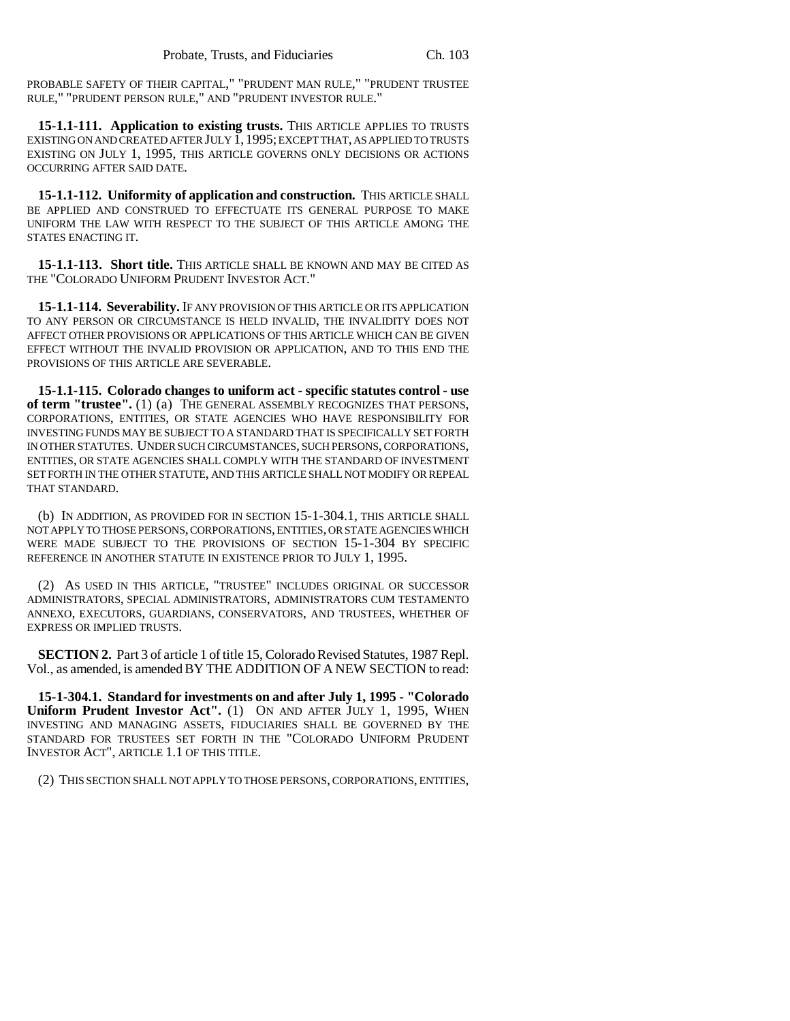PROBABLE SAFETY OF THEIR CAPITAL," "PRUDENT MAN RULE," "PRUDENT TRUSTEE RULE," "PRUDENT PERSON RULE," AND "PRUDENT INVESTOR RULE."

**15-1.1-111. Application to existing trusts.** THIS ARTICLE APPLIES TO TRUSTS EXISTING ON AND CREATED AFTER JULY 1, 1995; EXCEPT THAT, AS APPLIED TO TRUSTS EXISTING ON JULY 1, 1995, THIS ARTICLE GOVERNS ONLY DECISIONS OR ACTIONS OCCURRING AFTER SAID DATE.

**15-1.1-112. Uniformity of application and construction.** THIS ARTICLE SHALL BE APPLIED AND CONSTRUED TO EFFECTUATE ITS GENERAL PURPOSE TO MAKE UNIFORM THE LAW WITH RESPECT TO THE SUBJECT OF THIS ARTICLE AMONG THE STATES ENACTING IT.

**15-1.1-113. Short title.** THIS ARTICLE SHALL BE KNOWN AND MAY BE CITED AS THE "COLORADO UNIFORM PRUDENT INVESTOR ACT."

**15-1.1-114. Severability.** IF ANY PROVISION OF THIS ARTICLE OR ITS APPLICATION TO ANY PERSON OR CIRCUMSTANCE IS HELD INVALID, THE INVALIDITY DOES NOT AFFECT OTHER PROVISIONS OR APPLICATIONS OF THIS ARTICLE WHICH CAN BE GIVEN EFFECT WITHOUT THE INVALID PROVISION OR APPLICATION, AND TO THIS END THE PROVISIONS OF THIS ARTICLE ARE SEVERABLE.

**15-1.1-115. Colorado changes to uniform act - specific statutes control - use of term "trustee".** (1) (a) THE GENERAL ASSEMBLY RECOGNIZES THAT PERSONS, CORPORATIONS, ENTITIES, OR STATE AGENCIES WHO HAVE RESPONSIBILITY FOR INVESTING FUNDS MAY BE SUBJECT TO A STANDARD THAT IS SPECIFICALLY SET FORTH IN OTHER STATUTES. UNDER SUCH CIRCUMSTANCES, SUCH PERSONS, CORPORATIONS, ENTITIES, OR STATE AGENCIES SHALL COMPLY WITH THE STANDARD OF INVESTMENT SET FORTH IN THE OTHER STATUTE, AND THIS ARTICLE SHALL NOT MODIFY OR REPEAL THAT STANDARD.

(b) IN ADDITION, AS PROVIDED FOR IN SECTION 15-1-304.1, THIS ARTICLE SHALL NOT APPLY TO THOSE PERSONS, CORPORATIONS, ENTITIES, OR STATE AGENCIES WHICH WERE MADE SUBJECT TO THE PROVISIONS OF SECTION 15-1-304 BY SPECIFIC REFERENCE IN ANOTHER STATUTE IN EXISTENCE PRIOR TO JULY 1, 1995.

(2) AS USED IN THIS ARTICLE, "TRUSTEE" INCLUDES ORIGINAL OR SUCCESSOR ADMINISTRATORS, SPECIAL ADMINISTRATORS, ADMINISTRATORS CUM TESTAMENTO ANNEXO, EXECUTORS, GUARDIANS, CONSERVATORS, AND TRUSTEES, WHETHER OF EXPRESS OR IMPLIED TRUSTS.

**SECTION 2.** Part 3 of article 1 of title 15, Colorado Revised Statutes, 1987 Repl. Vol., as amended, is amended BY THE ADDITION OF A NEW SECTION to read:

**15-1-304.1. Standard for investments on and after July 1, 1995 - "Colorado Uniform Prudent Investor Act".** (1) ON AND AFTER JULY 1, 1995, WHEN INVESTING AND MANAGING ASSETS, FIDUCIARIES SHALL BE GOVERNED BY THE STANDARD FOR TRUSTEES SET FORTH IN THE "COLORADO UNIFORM PRUDENT INVESTOR ACT", ARTICLE 1.1 OF THIS TITLE.

(2) THIS SECTION SHALL NOT APPLY TO THOSE PERSONS, CORPORATIONS, ENTITIES,